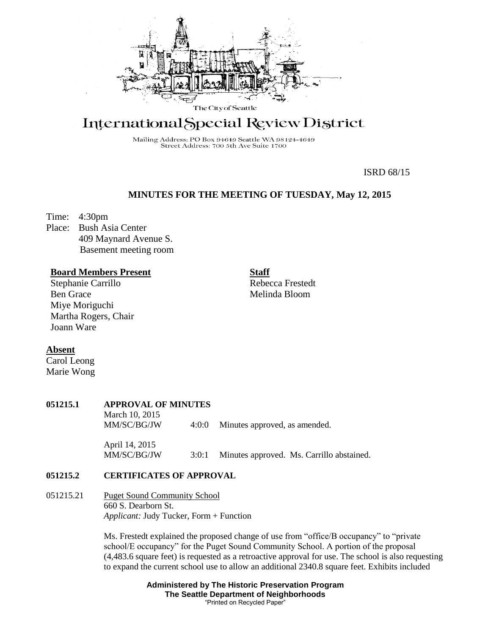

# International Special Review District

Mailing Address: PO Box 94649 Seattle WA 98124-4649 Street Address: 700 5th Ave Suite 1700

ISRD 68/15

## **MINUTES FOR THE MEETING OF TUESDAY, May 12, 2015**

**Staff**

Time: 4:30pm

Place: Bush Asia Center 409 Maynard Avenue S. Basement meeting room

## **Board Members Present**

Stephanie Carrillo Ben Grace Miye Moriguchi Martha Rogers, Chair Joann Ware

Rebecca Frestedt Melinda Bloom

#### **Absent**

Carol Leong Marie Wong

#### **051215.1 APPROVAL OF MINUTES**

March 10, 2015 MM/SC/BG/JW 4:0:0 Minutes approved, as amended. April 14, 2015

MM/SC/BG/JW 3:0:1 Minutes approved. Ms. Carrillo abstained.

# **051215.2 CERTIFICATES OF APPROVAL**

051215.21 Puget Sound Community School 660 S. Dearborn St. *Applicant:* Judy Tucker, Form + Function

> Ms. Frestedt explained the proposed change of use from "office/B occupancy" to "private school/E occupancy" for the Puget Sound Community School. A portion of the proposal (4,483.6 square feet) is requested as a retroactive approval for use. The school is also requesting to expand the current school use to allow an additional 2340.8 square feet. Exhibits included

> > **Administered by The Historic Preservation Program The Seattle Department of Neighborhoods** "Printed on Recycled Paper"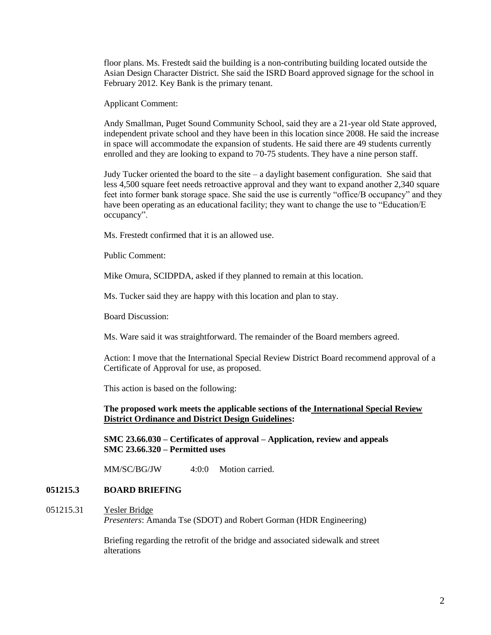floor plans. Ms. Frestedt said the building is a non-contributing building located outside the Asian Design Character District. She said the ISRD Board approved signage for the school in February 2012. Key Bank is the primary tenant.

Applicant Comment:

Andy Smallman, Puget Sound Community School, said they are a 21-year old State approved, independent private school and they have been in this location since 2008. He said the increase in space will accommodate the expansion of students. He said there are 49 students currently enrolled and they are looking to expand to 70-75 students. They have a nine person staff.

Judy Tucker oriented the board to the site – a daylight basement configuration. She said that less 4,500 square feet needs retroactive approval and they want to expand another 2,340 square feet into former bank storage space. She said the use is currently "office/B occupancy" and they have been operating as an educational facility; they want to change the use to "Education/E occupancy".

Ms. Frestedt confirmed that it is an allowed use.

Public Comment:

Mike Omura, SCIDPDA, asked if they planned to remain at this location.

Ms. Tucker said they are happy with this location and plan to stay.

Board Discussion:

Ms. Ware said it was straightforward. The remainder of the Board members agreed.

Action: I move that the International Special Review District Board recommend approval of a Certificate of Approval for use, as proposed.

This action is based on the following:

**The proposed work meets the applicable sections of the International Special Review District Ordinance and District Design Guidelines:** 

**SMC 23.66.030 – Certificates of approval – Application, review and appeals SMC 23.66.320 – Permitted uses**

MM/SC/BG/JW 4:0:0 Motion carried.

#### **051215.3 BOARD BRIEFING**

051215.31 Yesler Bridge

*Presenters*: Amanda Tse (SDOT) and Robert Gorman (HDR Engineering)

Briefing regarding the retrofit of the bridge and associated sidewalk and street alterations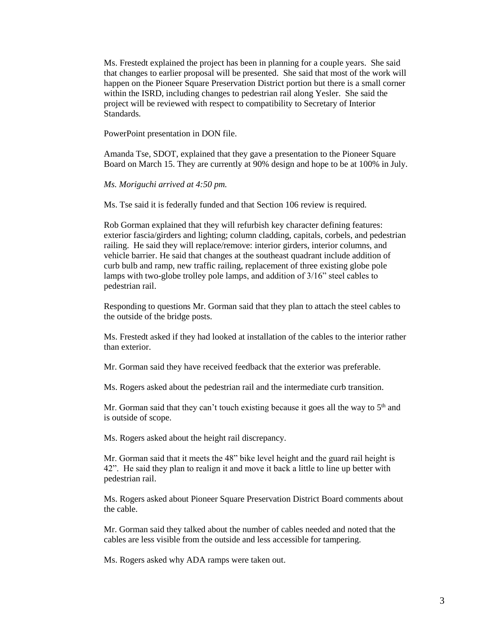Ms. Frestedt explained the project has been in planning for a couple years. She said that changes to earlier proposal will be presented. She said that most of the work will happen on the Pioneer Square Preservation District portion but there is a small corner within the ISRD, including changes to pedestrian rail along Yesler. She said the project will be reviewed with respect to compatibility to Secretary of Interior Standards.

PowerPoint presentation in DON file.

Amanda Tse, SDOT, explained that they gave a presentation to the Pioneer Square Board on March 15. They are currently at 90% design and hope to be at 100% in July.

*Ms. Moriguchi arrived at 4:50 pm.*

Ms. Tse said it is federally funded and that Section 106 review is required.

Rob Gorman explained that they will refurbish key character defining features: exterior fascia/girders and lighting; column cladding, capitals, corbels, and pedestrian railing. He said they will replace/remove: interior girders, interior columns, and vehicle barrier. He said that changes at the southeast quadrant include addition of curb bulb and ramp, new traffic railing, replacement of three existing globe pole lamps with two-globe trolley pole lamps, and addition of 3/16" steel cables to pedestrian rail.

Responding to questions Mr. Gorman said that they plan to attach the steel cables to the outside of the bridge posts.

Ms. Frestedt asked if they had looked at installation of the cables to the interior rather than exterior.

Mr. Gorman said they have received feedback that the exterior was preferable.

Ms. Rogers asked about the pedestrian rail and the intermediate curb transition.

Mr. Gorman said that they can't touch existing because it goes all the way to  $5<sup>th</sup>$  and is outside of scope.

Ms. Rogers asked about the height rail discrepancy.

Mr. Gorman said that it meets the 48" bike level height and the guard rail height is 42". He said they plan to realign it and move it back a little to line up better with pedestrian rail.

Ms. Rogers asked about Pioneer Square Preservation District Board comments about the cable.

Mr. Gorman said they talked about the number of cables needed and noted that the cables are less visible from the outside and less accessible for tampering.

Ms. Rogers asked why ADA ramps were taken out.